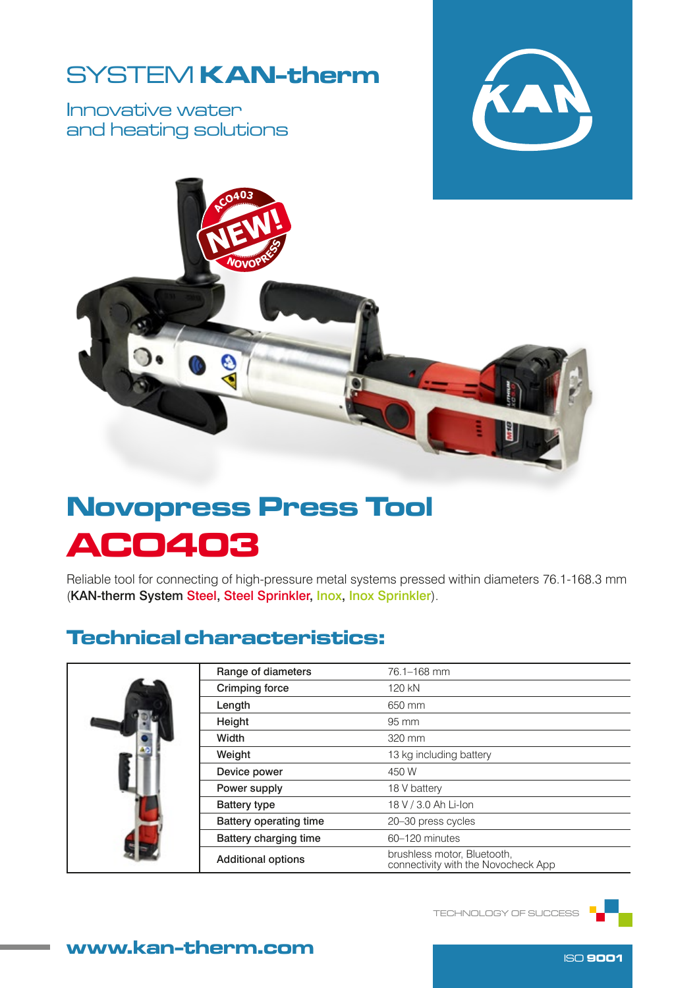## SYSTEM KAN-therm

Innovative water and heating solutions





# Novopress Press Tool ACO403

Reliable tool for connecting of high-pressure metal systems pressed within diameters 76.1-168.3 mm (KAN-therm System Steel, Steel Sprinkler, Inox, Inox Sprinkler).

### Technical characteristics:

|  | Range of diameters        | 76.1-168 mm                                                        |  |  |
|--|---------------------------|--------------------------------------------------------------------|--|--|
|  | <b>Crimping force</b>     | 120 kN                                                             |  |  |
|  | Length                    | 650 mm                                                             |  |  |
|  | Height                    | 95 mm                                                              |  |  |
|  | Width                     | 320 mm                                                             |  |  |
|  | Weight                    | 13 kg including battery                                            |  |  |
|  | Device power              | 450 W                                                              |  |  |
|  | Power supply              | 18 V battery                                                       |  |  |
|  | <b>Battery type</b>       | 18 V / 3.0 Ah Li-Ion                                               |  |  |
|  | Battery operating time    | 20-30 press cycles                                                 |  |  |
|  | Battery charging time     | 60-120 minutes                                                     |  |  |
|  | <b>Additional options</b> | brushless motor, Bluetooth,<br>connectivity with the Novocheck App |  |  |

TECHNOLOGY OF SUCCESS